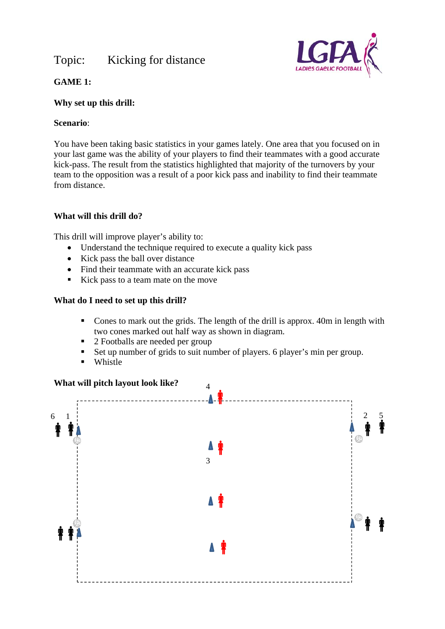## Topic: Kicking for distance



## **GAME 1:**

#### **Why set up this drill:**

## **Scenario**:

You have been taking basic statistics in your games lately. One area that you focused on in your last game was the ability of your players to find their teammates with a good accurate kick-pass. The result from the statistics highlighted that majority of the turnovers by your team to the opposition was a result of a poor kick pass and inability to find their teammate from distance.

## **What will this drill do?**

This drill will improve player's ability to:

- Understand the technique required to execute a quality kick pass
- Kick pass the ball over distance
- Find their teammate with an accurate kick pass
- Kick pass to a team mate on the move

## **What do I need to set up this drill?**

- Cones to mark out the grids. The length of the drill is approx. 40m in length with two cones marked out half way as shown in diagram.
- 2 Footballs are needed per group
- Set up number of grids to suit number of players. 6 player's min per group.
- **Whistle**

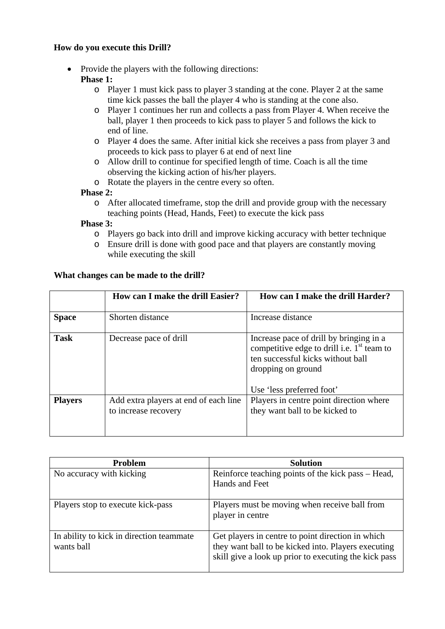#### **How do you execute this Drill?**

• Provide the players with the following directions:

## **Phase 1:**

- o Player 1 must kick pass to player 3 standing at the cone. Player 2 at the same time kick passes the ball the player 4 who is standing at the cone also.
- o Player 1 continues her run and collects a pass from Player 4. When receive the ball, player 1 then proceeds to kick pass to player 5 and follows the kick to end of line.
- o Player 4 does the same. After initial kick she receives a pass from player 3 and proceeds to kick pass to player 6 at end of next line
- o Allow drill to continue for specified length of time. Coach is all the time observing the kicking action of his/her players.
- o Rotate the players in the centre every so often.

#### **Phase 2:**

o After allocated timeframe, stop the drill and provide group with the necessary teaching points (Head, Hands, Feet) to execute the kick pass

#### **Phase 3:**

- o Players go back into drill and improve kicking accuracy with better technique
- o Ensure drill is done with good pace and that players are constantly moving while executing the skill

#### **What changes can be made to the drill?**

|                | How can I make the drill Easier?                              | How can I make the drill Harder?                                                                                                                                                |
|----------------|---------------------------------------------------------------|---------------------------------------------------------------------------------------------------------------------------------------------------------------------------------|
| <b>Space</b>   | Shorten distance                                              | Increase distance                                                                                                                                                               |
| <b>Task</b>    | Decrease pace of drill                                        | Increase pace of drill by bringing in a<br>competitive edge to drill i.e. $1st$ team to<br>ten successful kicks without ball<br>dropping on ground<br>Use 'less preferred foot' |
| <b>Players</b> | Add extra players at end of each line<br>to increase recovery | Players in centre point direction where<br>they want ball to be kicked to                                                                                                       |

| <b>Problem</b>                                         | <b>Solution</b>                                                                                                                                                   |
|--------------------------------------------------------|-------------------------------------------------------------------------------------------------------------------------------------------------------------------|
| No accuracy with kicking                               | Reinforce teaching points of the kick pass – Head,<br>Hands and Feet                                                                                              |
| Players stop to execute kick-pass                      | Players must be moving when receive ball from<br>player in centre                                                                                                 |
| In ability to kick in direction teammate<br>wants ball | Get players in centre to point direction in which<br>they want ball to be kicked into. Players executing<br>skill give a look up prior to executing the kick pass |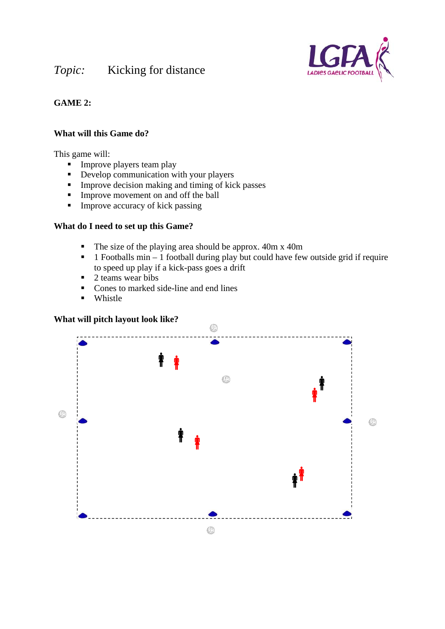# *Topic:* Kicking for distance



## **GAME 2:**

#### **What will this Game do?**

This game will:

- $\blacksquare$  Improve players team play
- Develop communication with your players
- **IMPROVE decision making and timing of kick passes**
- Improve movement on and off the ball
- $\blacksquare$  Improve accuracy of kick passing

#### **What do I need to set up this Game?**

- $\blacksquare$  The size of the playing area should be approx. 40m x 40m
- $\blacksquare$  1 Footballs min 1 football during play but could have few outside grid if require to speed up play if a kick-pass goes a drift
- $\blacksquare$  2 teams wear bibs
- Cones to marked side-line and end lines
- **u** Whistle

## **What will pitch layout look like?**